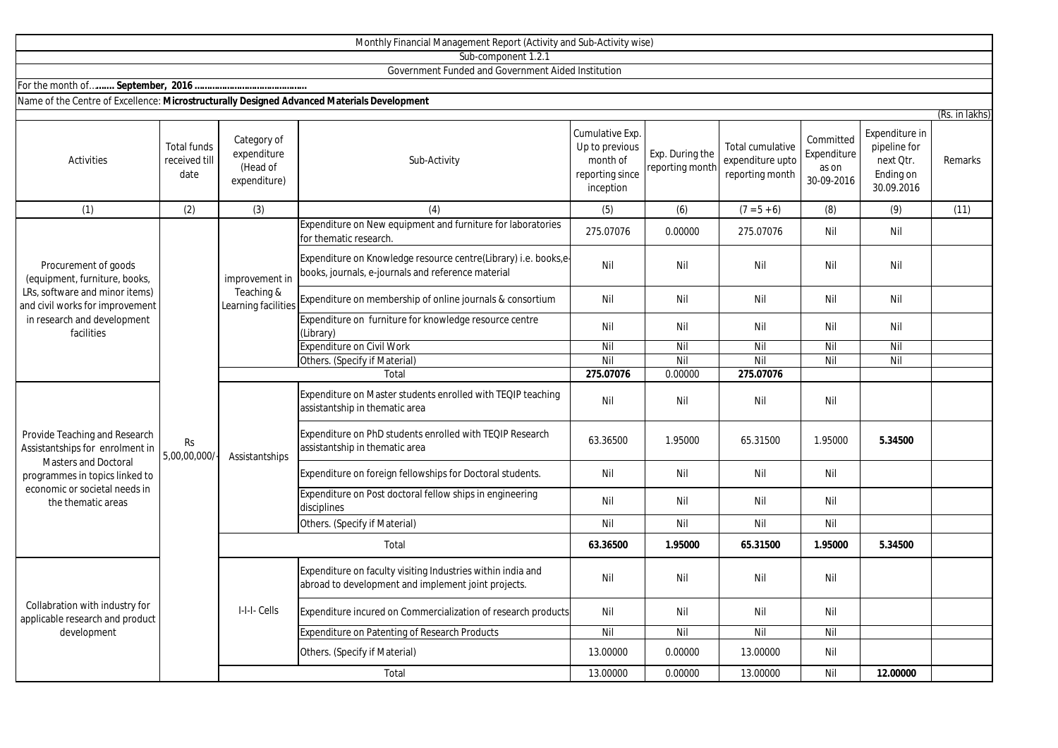|                                                                                                                                                                                          |                                             |                                                        | Sub-component 1.2.1                                                                                                   |                                                                               |                                    |                                                                |                                                 |                                                                        |                           |
|------------------------------------------------------------------------------------------------------------------------------------------------------------------------------------------|---------------------------------------------|--------------------------------------------------------|-----------------------------------------------------------------------------------------------------------------------|-------------------------------------------------------------------------------|------------------------------------|----------------------------------------------------------------|-------------------------------------------------|------------------------------------------------------------------------|---------------------------|
|                                                                                                                                                                                          |                                             |                                                        | Government Funded and Government Aided Institution                                                                    |                                                                               |                                    |                                                                |                                                 |                                                                        |                           |
|                                                                                                                                                                                          |                                             |                                                        |                                                                                                                       |                                                                               |                                    |                                                                |                                                 |                                                                        |                           |
| Name of the Centre of Excellence: Microstructurally Designed Advanced Materials Development                                                                                              |                                             |                                                        |                                                                                                                       |                                                                               |                                    |                                                                |                                                 |                                                                        |                           |
| Activities                                                                                                                                                                               | <b>Total funds</b><br>received till<br>date | Category of<br>expenditure<br>(Head of<br>expenditure) | Sub-Activity                                                                                                          | Cumulative Exp.<br>Up to previous<br>month of<br>reporting since<br>inception | Exp. During the<br>reporting month | <b>Total cumulative</b><br>expenditure upto<br>reporting month | Committed<br>Expenditure<br>as on<br>30-09-2016 | Expenditure in<br>pipeline for<br>next Qtr.<br>Ending on<br>30.09.2016 | (Rs. in lakhs)<br>Remarks |
| (1)                                                                                                                                                                                      | (2)                                         | (3)                                                    | (4)                                                                                                                   | (5)                                                                           | (6)                                | $(7 = 5 + 6)$                                                  | (8)                                             | (9)                                                                    | (11)                      |
| Procurement of goods<br>(equipment, furniture, books,<br>LRs, software and minor items)<br>and civil works for improvement<br>in research and development<br>facilities                  | <b>Rs</b><br>5,00,00,000/                   | improvement in<br>Teaching &<br>Learning facilities    | Expenditure on New equipment and furniture for laboratories<br>for thematic research.                                 | 275.07076                                                                     | 0.00000                            | 275.07076                                                      | Nil                                             | Nil                                                                    |                           |
|                                                                                                                                                                                          |                                             |                                                        | Expenditure on Knowledge resource centre(Library) i.e. books,e-<br>books, journals, e-journals and reference material | Nil                                                                           | Nil                                | Nil                                                            | Nil                                             | Nil                                                                    |                           |
|                                                                                                                                                                                          |                                             |                                                        | Expenditure on membership of online journals & consortium                                                             | Nil                                                                           | Nil                                | Nil                                                            | Nil                                             | Nil                                                                    |                           |
|                                                                                                                                                                                          |                                             |                                                        | Expenditure on furniture for knowledge resource centre<br>(Library)                                                   | Nil                                                                           | Nil                                | Nil                                                            | Nil                                             | Nil                                                                    |                           |
|                                                                                                                                                                                          |                                             |                                                        | <b>Expenditure on Civil Work</b>                                                                                      | Nil                                                                           | Nil                                | Nil                                                            | Nil                                             | Nil                                                                    |                           |
|                                                                                                                                                                                          |                                             |                                                        | Others. (Specify if Material)                                                                                         | Nil                                                                           | Nil                                | Nil                                                            | Nil                                             | Nil                                                                    |                           |
|                                                                                                                                                                                          |                                             |                                                        | Total                                                                                                                 | 275.07076                                                                     | 0.00000                            | 275.07076                                                      |                                                 |                                                                        |                           |
| Provide Teaching and Research<br>Assistantships for enrolment in<br><b>Masters and Doctoral</b><br>programmes in topics linked to<br>economic or societal needs in<br>the thematic areas |                                             | Assistantships                                         | Expenditure on Master students enrolled with TEQIP teaching<br>assistantship in thematic area                         | Nil                                                                           | Nil                                | Nil                                                            | Nil                                             |                                                                        |                           |
|                                                                                                                                                                                          |                                             |                                                        | Expenditure on PhD students enrolled with TEQIP Research<br>assistantship in thematic area                            | 63.36500                                                                      | 1.95000                            | 65.31500                                                       | 1.95000                                         | 5.34500                                                                |                           |
|                                                                                                                                                                                          |                                             |                                                        | Expenditure on foreign fellowships for Doctoral students.                                                             | Nil                                                                           | Nil                                | Nil                                                            | Nil                                             |                                                                        |                           |
|                                                                                                                                                                                          |                                             |                                                        | Expenditure on Post doctoral fellow ships in engineering<br>disciplines                                               | Nil                                                                           | Nil                                | Nil                                                            | Nil                                             |                                                                        |                           |
|                                                                                                                                                                                          |                                             |                                                        | Others. (Specify if Material)                                                                                         | Nil                                                                           | Nil                                | Nil                                                            | Nil                                             |                                                                        |                           |
|                                                                                                                                                                                          |                                             | Total                                                  |                                                                                                                       | 63.36500                                                                      | 1.95000                            | 65.31500                                                       | 1.95000                                         | 5.34500                                                                |                           |
| Collabration with industry for<br>applicable research and product<br>development                                                                                                         |                                             | I-I-I- Cells                                           | Expenditure on faculty visiting Industries within india and<br>abroad to development and implement joint projects.    | Nil                                                                           | Nil                                | Nil                                                            | Nil                                             |                                                                        |                           |
|                                                                                                                                                                                          |                                             |                                                        | Expenditure incured on Commercialization of research products                                                         | Nil                                                                           | Nil                                | Nil                                                            | Nil                                             |                                                                        |                           |
|                                                                                                                                                                                          |                                             |                                                        | Expenditure on Patenting of Research Products                                                                         | $\overline{N}$                                                                | Nil                                | Nil                                                            | Nil                                             |                                                                        |                           |
|                                                                                                                                                                                          |                                             |                                                        | Others. (Specify if Material)                                                                                         | 13.00000                                                                      | 0.00000                            | 13.00000                                                       | Nil                                             |                                                                        |                           |

Monthly Financial Management Report (Activity and Sub-Activity wise)

Total

13.00000 0.00000 13.00000 Nil **12.00000**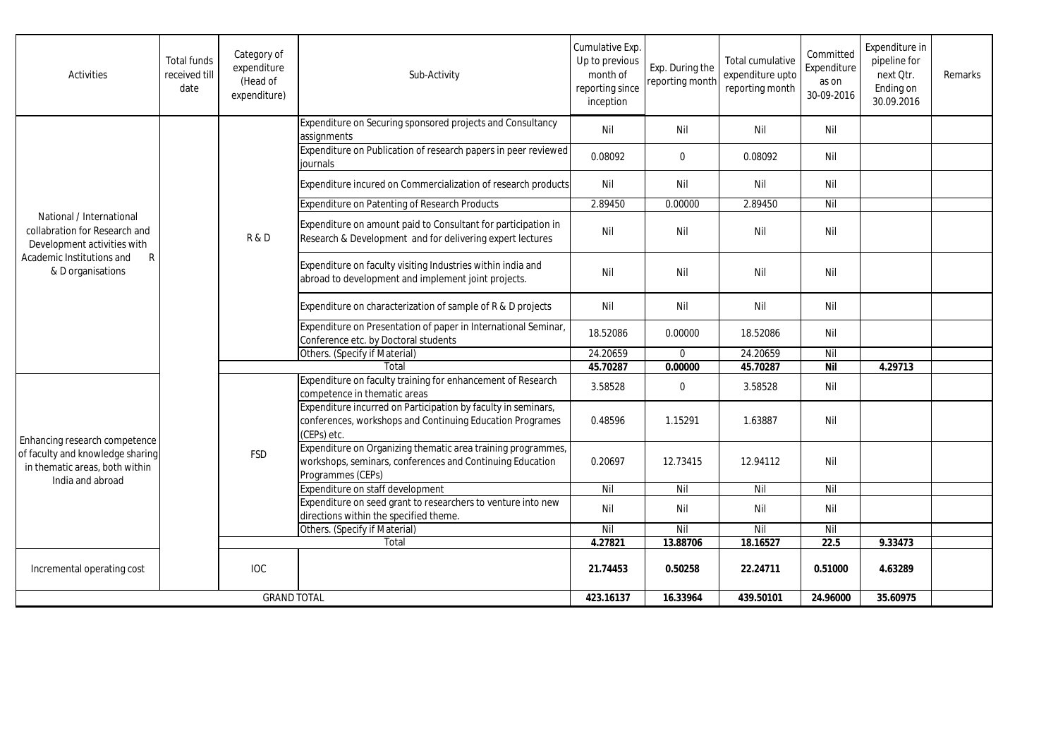| Activities                                                                                                                                      | <b>Total funds</b><br>received till<br>date | Category of<br>expenditure<br>(Head of<br>expenditure) | Sub-Activity                                                                                                                                   | Cumulative Exp.<br>Up to previous<br>month of<br>reporting since<br>inception | Exp. During the<br>reporting month | Total cumulative<br>expenditure upto<br>reporting month | Committed<br>Expenditure<br>as on<br>30-09-2016 | Expenditure in<br>pipeline for<br>next Otr.<br>Ending on<br>30.09.2016 | Remarks |
|-------------------------------------------------------------------------------------------------------------------------------------------------|---------------------------------------------|--------------------------------------------------------|------------------------------------------------------------------------------------------------------------------------------------------------|-------------------------------------------------------------------------------|------------------------------------|---------------------------------------------------------|-------------------------------------------------|------------------------------------------------------------------------|---------|
| National / International<br>collabration for Research and<br>Development activities with<br>Academic Institutions and<br>R<br>& D organisations |                                             | R&D                                                    | Expenditure on Securing sponsored projects and Consultancy<br>assignments                                                                      | Nil                                                                           | Nil                                | Nil                                                     | Nil                                             |                                                                        |         |
|                                                                                                                                                 |                                             |                                                        | Expenditure on Publication of research papers in peer reviewed<br>iournals                                                                     | 0.08092                                                                       | $\mathbf 0$                        | 0.08092                                                 | Nil                                             |                                                                        |         |
|                                                                                                                                                 |                                             |                                                        | Expenditure incured on Commercialization of research products                                                                                  | Nil                                                                           | Nil                                | Nil                                                     | Nil                                             |                                                                        |         |
|                                                                                                                                                 |                                             |                                                        | Expenditure on Patenting of Research Products                                                                                                  | 2.89450                                                                       | 0.00000                            | 2.89450                                                 | Nil                                             |                                                                        |         |
|                                                                                                                                                 |                                             |                                                        | Expenditure on amount paid to Consultant for participation in<br>Research & Development and for delivering expert lectures                     | Nil                                                                           | Nil                                | Nil                                                     | Nil                                             |                                                                        |         |
|                                                                                                                                                 |                                             |                                                        | Expenditure on faculty visiting Industries within india and<br>abroad to development and implement joint projects.                             | Nil                                                                           | Nil                                | Nil                                                     | Nil                                             |                                                                        |         |
|                                                                                                                                                 |                                             |                                                        | Expenditure on characterization of sample of R & D projects                                                                                    | Nil                                                                           | Nil                                | Nil                                                     | Nil                                             |                                                                        |         |
|                                                                                                                                                 |                                             |                                                        | Expenditure on Presentation of paper in International Seminar,<br>Conference etc. by Doctoral students                                         | 18.52086                                                                      | 0.00000                            | 18.52086                                                | Nil                                             |                                                                        |         |
|                                                                                                                                                 |                                             |                                                        | Others. (Specify if Material)                                                                                                                  | 24.20659                                                                      | $\Omega$                           | 24.20659                                                | Nil                                             |                                                                        |         |
|                                                                                                                                                 |                                             |                                                        | Total                                                                                                                                          | 45.70287                                                                      | 0.00000                            | 45.70287                                                | <b>Nil</b>                                      | 4.29713                                                                |         |
| Enhancing research competence<br>of faculty and knowledge sharing<br>in thematic areas, both within<br>India and abroad                         |                                             | <b>FSD</b>                                             | Expenditure on faculty training for enhancement of Research<br>competence in thematic areas                                                    | 3.58528                                                                       | $\mathbf 0$                        | 3.58528                                                 | Nil                                             |                                                                        |         |
|                                                                                                                                                 |                                             |                                                        | Expenditure incurred on Participation by faculty in seminars,<br>conferences, workshops and Continuing Education Programes<br>(CEPs) etc.      | 0.48596                                                                       | 1.15291                            | 1.63887                                                 | Nil                                             |                                                                        |         |
|                                                                                                                                                 |                                             |                                                        | Expenditure on Organizing thematic area training programmes,<br>workshops, seminars, conferences and Continuing Education<br>Programmes (CEPs) | 0.20697                                                                       | 12.73415                           | 12.94112                                                | Nil                                             |                                                                        |         |
|                                                                                                                                                 |                                             |                                                        | Expenditure on staff development                                                                                                               | Nil                                                                           | Nil                                | Nil                                                     | Nil                                             |                                                                        |         |
|                                                                                                                                                 |                                             |                                                        | Expenditure on seed grant to researchers to venture into new<br>directions within the specified theme.                                         | Nil                                                                           | Nil                                | Nil                                                     | Nil                                             |                                                                        |         |
|                                                                                                                                                 |                                             |                                                        | Others. (Specify if Material)                                                                                                                  | Nil                                                                           | Nil                                | Nil                                                     | Nil                                             |                                                                        |         |
|                                                                                                                                                 |                                             | Total                                                  |                                                                                                                                                | 4.27821                                                                       | 13.88706                           | 18.16527                                                | 22.5                                            | 9.33473                                                                |         |
| Incremental operating cost                                                                                                                      |                                             | <b>IOC</b>                                             |                                                                                                                                                | 21.74453                                                                      | 0.50258                            | 22.24711                                                | 0.51000                                         | 4.63289                                                                |         |
| <b>GRAND TOTAL</b>                                                                                                                              |                                             |                                                        | 423.16137                                                                                                                                      | 16.33964                                                                      | 439.50101                          | 24.96000                                                | 35.60975                                        |                                                                        |         |